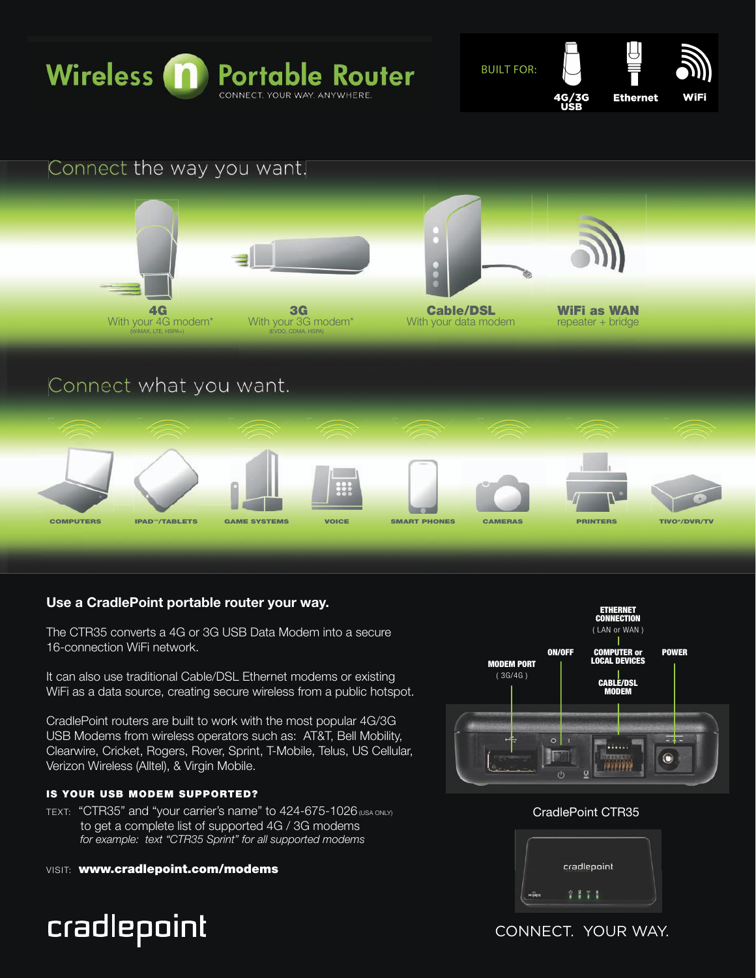

**BUILT FOR:** 

1G/3G





# **Use a CradlePoint portable router your way.**

The CTR35 converts a 4G or 3G USB Data Modem into a secure 16-connection WiFi network.

It can also use traditional Cable/DSL Ethernet modems or existing WiFi as a data source, creating secure wireless from a public hotspot.

CradlePoint routers are built to work with the most popular 4G/3G USB Modems from wireless operators such as: AT&T, Bell Mobility, Clearwire, Cricket, Rogers, Rover, Sprint, T-Mobile, Telus, US Cellular, Verizon Wireless (Alltel), & Virgin Mobile.

# IS YOUR USB MODEM SUPPORTED?

- TEXT: "CTR35" and "your carrier's name" to 424-675-1026 (USA ONLY) to get a complete list of supported 4G / 3G modems  *for example: text "CTR35 Sprint" for all supported modems*
- VISIT: www.cradlepoint.com/modems

# cradlepoint



# CradlePoint CTR35



CONNECT. YOUR WAY.